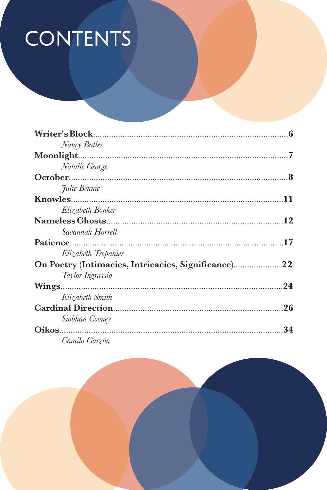## **CONTENTS**

| Nancy Butler                                        |    |
|-----------------------------------------------------|----|
|                                                     |    |
| Natalie George                                      |    |
|                                                     |    |
| Julie Bennie                                        |    |
|                                                     |    |
| Elizabeth Bonker                                    |    |
|                                                     |    |
| Savannah Horrell                                    |    |
|                                                     |    |
| Elizabeth Trepanier                                 |    |
| On Poetry (Intimacies, Intricacies, Significance)22 |    |
| Taylor Ingrassia                                    |    |
|                                                     |    |
| Elizabeth Smith                                     |    |
|                                                     | 26 |
| Siobhan Cooney                                      |    |
|                                                     | 34 |
| Camilo Garzón                                       |    |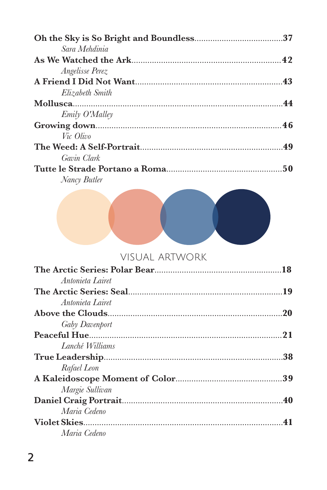| Sara Mehdinia          |  |
|------------------------|--|
|                        |  |
| <i>Angelisse Perez</i> |  |
|                        |  |
| Elizabeth Smith        |  |
|                        |  |
| <i>Emily O'Malley</i>  |  |
|                        |  |
| Vic Olivo              |  |
|                        |  |
| Gavin Clark            |  |
|                        |  |
| Nancy Butler           |  |



## visual artwork

| Antonieta Lairet |  |
|------------------|--|
|                  |  |
| Antonieta Lairet |  |
|                  |  |
| Gaby Davenport   |  |
|                  |  |
| Lanché Williams  |  |
|                  |  |
| Rafael Leon      |  |
|                  |  |
| Margie Sullivan  |  |
|                  |  |
| Maria Cedeno     |  |
|                  |  |
| Maria Cedeno     |  |